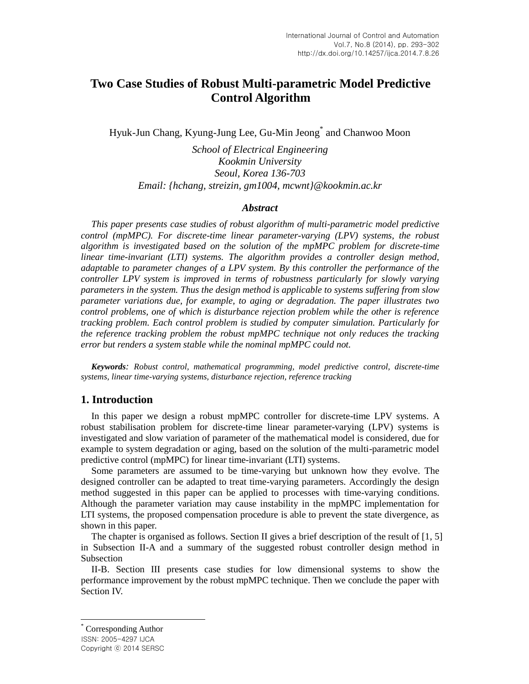# **Two Case Studies of Robust Multi-parametric Model Predictive Control Algorithm**

Hyuk-Jun Chang, Kyung-Jung Lee, Gu-Min Jeong\* and Chanwoo Moon

*School of Electrical Engineering Kookmin University Seoul, Korea 136-703 Email: {hchang, streizin, gm1004, mcwnt}@kookmin.ac.kr*

### *Abstract*

*This paper presents case studies of robust algorithm of multi-parametric model predictive control (mpMPC). For discrete-time linear parameter-varying (LPV) systems, the robust algorithm is investigated based on the solution of the mpMPC problem for discrete-time linear time-invariant (LTI) systems. The algorithm provides a controller design method, adaptable to parameter changes of a LPV system. By this controller the performance of the controller LPV system is improved in terms of robustness particularly for slowly varying parameters in the system. Thus the design method is applicable to systems suffering from slow parameter variations due, for example, to aging or degradation. The paper illustrates two control problems, one of which is disturbance rejection problem while the other is reference tracking problem. Each control problem is studied by computer simulation. Particularly for the reference tracking problem the robust mpMPC technique not only reduces the tracking error but renders a system stable while the nominal mpMPC could not.*

*Keywords: Robust control, mathematical programming, model predictive control, discrete-time systems, linear time-varying systems, disturbance rejection, reference tracking*

### **1. Introduction**

In this paper we design a robust mpMPC controller for discrete-time LPV systems. A robust stabilisation problem for discrete-time linear parameter-varying (LPV) systems is investigated and slow variation of parameter of the mathematical model is considered, due for example to system degradation or aging, based on the solution of the multi-parametric model predictive control (mpMPC) for linear time-invariant (LTI) systems.

Some parameters are assumed to be time-varying but unknown how they evolve. The designed controller can be adapted to treat time-varying parameters. Accordingly the design method suggested in this paper can be applied to processes with time-varying conditions. Although the parameter variation may cause instability in the mpMPC implementation for LTI systems, the proposed compensation procedure is able to prevent the state divergence, as shown in this paper.

The chapter is organised as follows. Section II gives a brief description of the result of  $[1, 5]$ in Subsection II-A and a summary of the suggested robust controller design method in Subsection

II-B. Section III presents case studies for low dimensional systems to show the performance improvement by the robust mpMPC technique. Then we conclude the paper with Section IV.

 $\overline{a}$ 

ISSN: 2005-4297 IJCA Copyright ⓒ 2014 SERSC Corresponding Author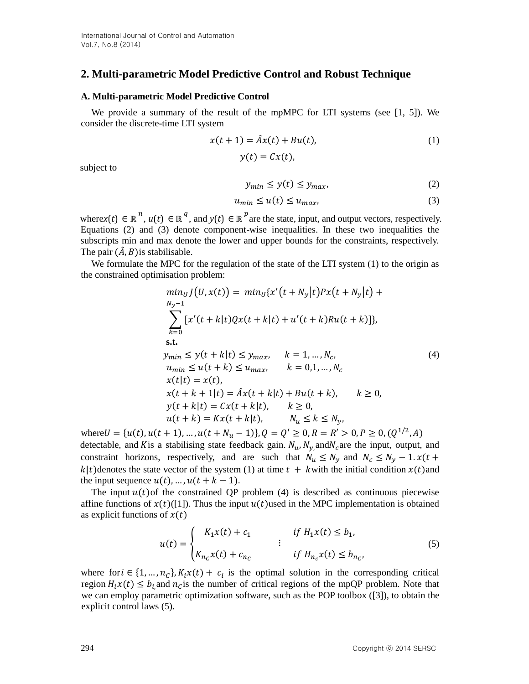## **2. Multi-parametric Model Predictive Control and Robust Technique**

#### **A. Multi-parametric Model Predictive Control**

We provide a summary of the result of the mpMPC for LTI systems (see  $[1, 5]$ ). We consider the discrete-time LTI system

 $y(t) = Cx(t),$ 

$$
x(t+1) = \hat{A}x(t) + Bu(t),
$$
\n(1)

subject to

$$
y_{min} \le y(t) \le y_{max},\tag{2}
$$

$$
u_{min} \le u(t) \le u_{max},\tag{3}
$$

where*x*(*t*)  $\in \mathbb{R}^n$ ,  $u(t) \in \mathbb{R}^q$ , and  $y(t) \in \mathbb{R}^p$  are the state, input, and output vectors, respectively. Equations (2) and (3) denote component-wise inequalities. In these two inequalities the subscripts min and max denote the lower and upper bounds for the constraints, respectively. The pair  $(\hat{A}, B)$  is stabilisable.

We formulate the MPC for the regulation of the state of the LTI system (1) to the origin as the constrained optimisation problem:

$$
\min_{N_y-1} J(U, x(t)) = \min_U \{x'(t + N_y|t)Px(t + N_y|t) +\sum_{k=0}^{N_y-1} [x'(t + k|t)Qx(t + k|t) + u'(t + k)Ru(t + k)]\},\ns.t.\n
$$
y_{min} \le y(t + k|t) \le y_{max}, \quad k = 1, ..., N_c,
$$
  
\n
$$
u_{min} \le u(t + k) \le u_{max}, \quad k = 0, 1, ..., N_c\n x(t|t) = x(t),\n x(t + k + 1|t) = \hat{A}x(t + k|t) + Bu(t + k), \quad k \ge 0,\n y(t + k|t) = Cx(t + k|t), \quad k \ge 0,\n u(t + k) = Kx(t + k|t), \quad N_u \le k \le N_y,
$$
$$

where  $U = \{u(t), u(t + 1), ..., u(t + N_u - 1)\}, Q = Q' \ge 0, R = R' > 0, P \ge 0, (Q^{1/2}, A)$ detectable, and K is a stabilising state feedback gain.  $N_u$ ,  $N_y$ , and  $N_c$  are the input, output, and constraint horizons, respectively, and are such that  $N_u \le N_v$  and  $N_c \le N_v - 1 \cdot x(t +$  $k|t$ )denotes the state vector of the system (1) at time  $t + k$  with the initial condition  $x(t)$  and the input sequence  $u(t)$ , …,  $u(t + k - 1)$ .

The input  $u(t)$  of the constrained QP problem (4) is described as continuous piecewise affine functions of  $x(t)$ ([1]). Thus the input  $u(t)$ used in the MPC implementation is obtained as explicit functions of  $x(t)$ 

$$
u(t) = \begin{cases} K_1 x(t) + c_1 & \text{if } H_1 x(t) \le b_1, \\ K_{n_c} x(t) + c_{n_c} & \text{if } H_{n_c} x(t) \le b_{n_c}, \end{cases}
$$
(5)

where for  $i \in \{1, ..., n_c\}$ ,  $K_i x(t) + c_i$  is the optimal solution in the corresponding critical region  $H_i x(t) \le b_i$  and  $n_c$  is the number of critical regions of the mpQP problem. Note that we can employ parametric optimization software, such as the POP toolbox ([3]), to obtain the explicit control laws (5).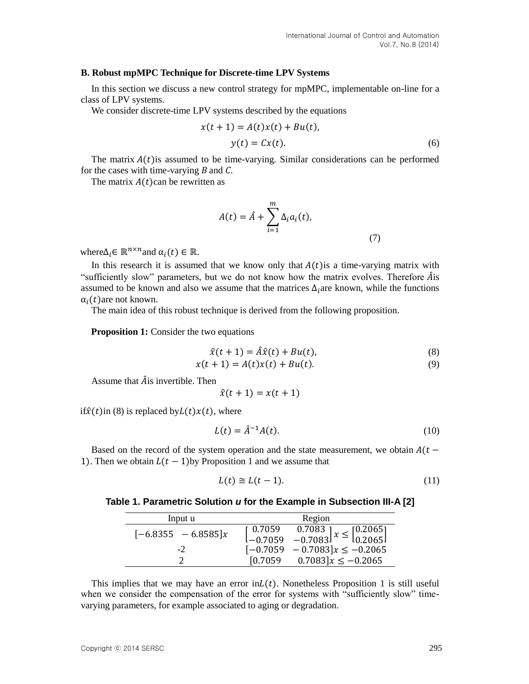### **B. Robust mpMPC Technique for Discrete-time LPV Systems**

In this section we discuss a new control strategy for mpMPC, implementable on-line for a class of LPV systems.

We consider discrete-time LPV systems described by the equations

$$
x(t+1) = A(t)x(t) + Bu(t),
$$
  

$$
y(t) = Cx(t).
$$
 (6)

The matrix  $A(t)$  is assumed to be time-varying. Similar considerations can be performed for the cases with time-varying *B* and *C*.

The matrix  $A(t)$ can be rewritten as

$$
A(t) = \hat{A} + \sum_{i=1}^{m} \Delta_i a_i(t),
$$
\n(7)

where  $\Delta_i \in \mathbb{R}^{n \times n}$  and  $\alpha_i(t) \in \mathbb{R}$ .

In this research it is assumed that we know only that  $A(t)$  is a time-varying matrix with "sufficiently slow" parameters, but we do not know how the matrix evolves. Therefore  $\hat{A}$  is assumed to be known and also we assume that the matrices  $\Delta_i$  are known, while the functions  $\alpha_i(t)$ are not known.

The main idea of this robust technique is derived from the following proposition.

**Proposition 1:** Consider the two equations

$$
\hat{x}(t+1) = \hat{A}\hat{x}(t) + Bu(t),\tag{8}
$$

$$
x(t + 1) = A(t)x(t) + Bu(t).
$$
 (9)

Assume that  $\hat{A}$  is invertible. Then

$$
\hat{x}(t+1) = x(t+1)
$$

if $\hat{x}(t)$ in (8) is replaced by $L(t)x(t)$ , where

$$
L(t) = \hat{A}^{-1}A(t).
$$
 (10)

Based on the record of the system operation and the state measurement, we obtain  $A(t -$ 1). Then we obtain  $L(t-1)$  by Proposition 1 and we assume that

$$
L(t) \cong L(t-1). \tag{11}
$$

#### **Table 1. Parametric Solution** *u* **for the Example in Subsection III-A [2]**

| Input u               | Region                                                                                                                    |
|-----------------------|---------------------------------------------------------------------------------------------------------------------------|
| $[-6.8355 - 6.8585]x$ | $\begin{bmatrix} 0.7059 & 0.7083 \\ -0.7059 & -0.7083 \end{bmatrix} x \le \begin{bmatrix} 0.2065 \\ 0.2065 \end{bmatrix}$ |
|                       |                                                                                                                           |
|                       | $[-0.7059 - 0.7083]x \le -0.2065$                                                                                         |
|                       | $0.7083\,x \le -0.2065$<br>[0.7059                                                                                        |

This implies that we may have an error  $\mathrm{inL}(t)$ . Nonetheless Proposition 1 is still useful when we consider the compensation of the error for systems with "sufficiently slow" timevarying parameters, for example associated to aging or degradation.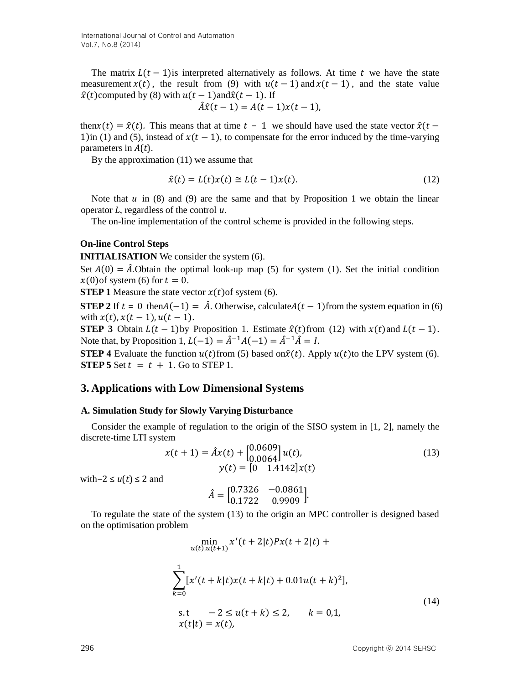The matrix  $L(t-1)$  is interpreted alternatively as follows. At time t we have the state measurement  $x(t)$ , the result from (9) with  $u(t - 1)$  and  $x(t - 1)$ , and the state value  $\hat{x}(t)$ computed by (8) with  $u(t - 1)$ and $\hat{x}(t - 1)$ . If

$$
\hat{A}\hat{x}(t-1) = A(t-1)x(t-1),
$$

then $x(t) = \hat{x}(t)$ . This means that at time  $t - 1$  we should have used the state vector  $\hat{x}(t -$ 1)in (1) and (5), instead of  $x(t - 1)$ , to compensate for the error induced by the time-varying parameters in *A*(*t*).

By the approximation (11) we assume that

$$
\hat{x}(t) = L(t)x(t) \approx L(t-1)x(t). \tag{12}
$$

Note that  $u$  in (8) and (9) are the same and that by Proposition 1 we obtain the linear operator *L*, regardless of the control *u*.

The on-line implementation of the control scheme is provided in the following steps.

### **On-line Control Steps**

**INITIALISATION** We consider the system (6).

Set  $A(0) = \hat{A}$ . Obtain the optimal look-up map (5) for system (1). Set the initial condition  $x(0)$ of system (6) for  $t = 0$ .

**STEP 1** Measure the state vector  $x(t)$  of system (6).

**STEP 2** If  $t = 0$  then $A(-1) = \hat{A}$ . Otherwise, calculate $A(t-1)$  from the system equation in (6) with  $x(t)$ ,  $x(t - 1)$ ,  $u(t - 1)$ .

**STEP 3** Obtain  $L(t-1)$ by Proposition 1. Estimate  $\hat{x}(t)$  from (12) with  $x(t)$  and  $L(t-1)$ . Note that, by Proposition 1,  $L(-1) = \hat{A}^{-1}A(-1) = \hat{A}^{-1}\hat{A} = I$ .

**STEP 4** Evaluate the function  $u(t)$  from (5) based on $\hat{x}(t)$ . Apply  $u(t)$  to the LPV system (6). **STEP 5** Set  $t = t + 1$ . Go to STEP 1.

### **3. Applications with Low Dimensional Systems**

#### **A. Simulation Study for Slowly Varying Disturbance**

Consider the example of regulation to the origin of the SISO system in [1, 2], namely the discrete-time LTI system

$$
x(t+1) = \hat{A}x(t) + \begin{bmatrix} 0.0609 \\ 0.0064 \end{bmatrix} u(t),
$$
  
\n
$$
y(t) = \begin{bmatrix} 0 & 1.4142 \end{bmatrix} x(t)
$$
 (13)

with−2 ≤ *u*(*t*) ≤ 2 and

$$
\hat{A} = \begin{bmatrix} 0.7326 & -0.0861 \\ 0.1722 & 0.9909 \end{bmatrix}.
$$
  
To regulate the state of the system (13) to the origin an MPC controller is designed based

on the optimisation problem  
\n
$$
\min_{u(t), u(t+1)} x'(t+2|t)Px(t+2|t) +
$$
\n
$$
\sum_{k=0}^{1} [x'(t+k|t)x(t+k|t) + 0.01u(t+k)^{2}],
$$
\n
$$
\text{s.t } -2 \le u(t+k) \le 2, \quad k = 0,1,
$$
\n
$$
x(t|t) = x(t),
$$
\n(14)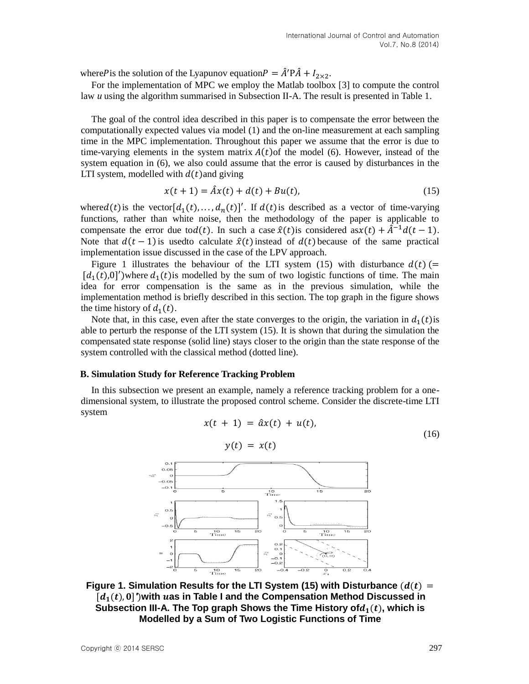where P is the solution of the Lyapunov equation  $P = \hat{A}' P \hat{A} + I_{2 \times 2}$ .

For the implementation of MPC we employ the Matlab toolbox [3] to compute the control law *u* using the algorithm summarised in Subsection II-A. The result is presented in Table 1.

The goal of the control idea described in this paper is to compensate the error between the computationally expected values via model (1) and the on-line measurement at each sampling time in the MPC implementation. Throughout this paper we assume that the error is due to time-varying elements in the system matrix  $A(t)$  of the model (6). However, instead of the system equation in (6), we also could assume that the error is caused by disturbances in the LTI system, modelled with  $d(t)$  and giving

$$
x(t+1) = \hat{A}x(t) + d(t) + Bu(t),
$$
\n(15)

where  $d(t)$  is the vector  $[d_1(t),..., d_n(t)]'$ . If  $d(t)$  is described as a vector of time-varying functions, rather than white noise, then the methodology of the paper is applicable to compensate the error due tod(t). In such a case  $\hat{x}(t)$  is considered as $x(t) + \hat{A}^{-1}d(t - 1)$ . Note that  $d(t-1)$  is used to calculate  $\hat{x}(t)$  instead of  $d(t)$  because of the same practical implementation issue discussed in the case of the LPV approach.

Figure 1 illustrates the behaviour of the LTI system (15) with disturbance  $d(t)$  (=  $[d_1(t),0]$ <sup>'</sup>)where  $d_1(t)$  is modelled by the sum of two logistic functions of time. The main idea for error compensation is the same as in the previous simulation, while the implementation method is briefly described in this section. The top graph in the figure shows the time history of  $d_1(t)$ .

Note that, in this case, even after the state converges to the origin, the variation in  $d_1(t)$  is able to perturb the response of the LTI system (15). It is shown that during the simulation the compensated state response (solid line) stays closer to the origin than the state response of the system controlled with the classical method (dotted line).

#### **B. Simulation Study for Reference Tracking Problem**

In this subsection we present an example, namely a reference tracking problem for a onedimensional system, to illustrate the proposed control scheme. Consider the discrete-time LTI system

 $x(t + 1) = \hat{a}x(t) + u(t),$ 

$$
y(t) = x(t)
$$
  
\n
$$
y(t) = x(t)
$$
  
\n
$$
y(t) = x(t)
$$
  
\n
$$
y(t) = x(t)
$$
  
\n
$$
y(t) = x(t)
$$
  
\n
$$
y(t) = x(t)
$$
  
\n
$$
y(t) = x(t)
$$
  
\n
$$
y(t) = x(t)
$$
  
\n
$$
y(t) = x(t)
$$
  
\n
$$
y(t) = x(t)
$$
  
\n
$$
y(t) = x(t)
$$
  
\n
$$
y(t) = x(t)
$$
  
\n
$$
y(t) = x(t)
$$
  
\n
$$
y(t) = x(t)
$$
  
\n
$$
y(t) = x(t)
$$
  
\n
$$
y(t) = x(t)
$$
  
\n
$$
y(t) = x(t)
$$
  
\n
$$
y(t) = x(t)
$$
  
\n
$$
y(t) = x(t)
$$
  
\n
$$
y(t) = x(t)
$$
  
\n
$$
y(t) = x(t)
$$
  
\n
$$
y(t) = x(t)
$$
  
\n
$$
y(t) = x(t)
$$
  
\n
$$
y(t) = x(t)
$$
  
\n
$$
y(t) = x(t)
$$
  
\n
$$
y(t) = x(t)
$$
  
\n
$$
y(t) = x(t)
$$
  
\n
$$
y(t) = x(t)
$$
  
\n
$$
y(t) = x(t)
$$
  
\n
$$
y(t) = x(t)
$$
  
\n
$$
y(t) = x(t)
$$
  
\n
$$
y(t) = x(t)
$$
  
\n
$$
y(t) = x(t)
$$
  
\n
$$
y(t) = x(t)
$$
  
\n
$$
y(t) = x(t)
$$
  
\n
$$
y(t) = x(t)
$$
  
\n
$$
y(t) = x(t)
$$
  
\n
$$
y(t) = x(t)
$$
  
\n
$$
y(t) = x(t)
$$
  
\n
$$
y(t) = x(t)
$$
  
\n
$$
y(t) = x(t)
$$
  
\n
$$
y(t) = x(t)
$$
  
\n
$$
y(t)
$$

**Figure 1. Simulation Results for the LTI System (15) with Disturbance**  $(d(t))$  **=** [ $d_1(t)$ , 0] ') with *uas* in Table I and the Compensation Method Discussed in Subsection III-A. The Top graph Shows the Time History of $d_1(t)$ , which is **Modelled by a Sum of Two Logistic Functions of Time**

(16)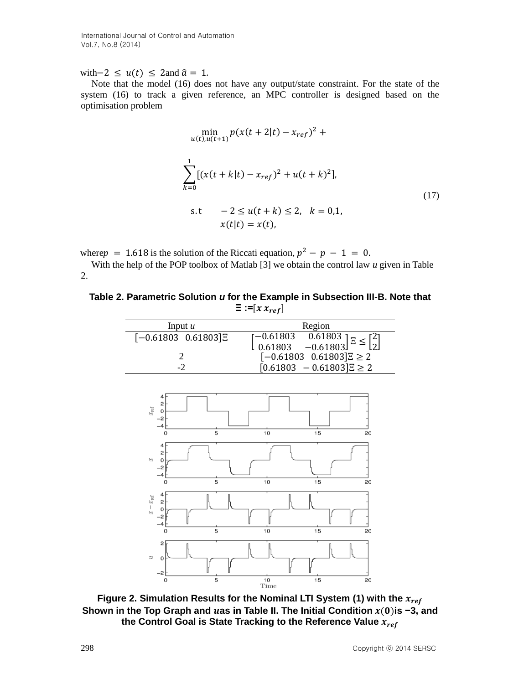with $-2 \le u(t) \le 2$  and  $\hat{a} = 1$ *.* 

Note that the model (16) does not have any output/state constraint. For the state of the system (16) to track a given reference, an MPC controller is designed based on the optimisation problem

$$
\min_{u(t), u(t+1)} p(x(t+2|t) - x_{ref})^{2} +
$$
\n
$$
\sum_{k=0}^{1} [(x(t+k|t) - x_{ref})^{2} + u(t+k)^{2}],
$$
\n
$$
\text{s.t} \quad -2 \le u(t+k) \le 2, \quad k = 0,1,
$$
\n
$$
x(t|t) = x(t),
$$
\n(17)

where  $p = 1.618$  is the solution of the Riccati equation,  $p^2 - p - 1 = 0$ .

With the help of the POP toolbox of Matlab [3] we obtain the control law *u* given in Table 2.

**Table 2. Parametric Solution** *u* **for the Example in Subsection III-B. Note that**   $\Xi$  :=[ $x x_{ref}$ ]

| Input $u$              | Region                                                                                                                   |
|------------------------|--------------------------------------------------------------------------------------------------------------------------|
| $[-0.61803 \ 0.61803]$ | $\begin{bmatrix} -0.61803 & 0.61803 \\ 0.61803 & -0.61803 \end{bmatrix}$ $\Xi \leq \begin{bmatrix} 2 \\ 2 \end{bmatrix}$ |
|                        | $[-0.61803 \ 0.61803]$ $\Xi \ge 2$                                                                                       |
|                        | $[0.61803 - 0.61803]$ $\Xi \ge 2$                                                                                        |



**Figure 2. Simulation Results for the Nominal LTI System (1) with the Shown in the Top Graph and** *u***as in Table II. The Initial Condition**  $x(0)$ **is -3, and the Control Goal is State Tracking to the Reference Value**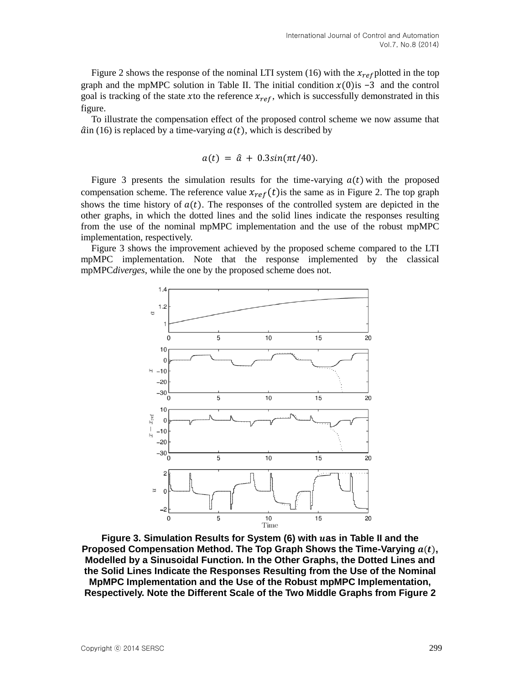Figure 2 shows the response of the nominal LTI system (16) with the  $x_{ref}$  plotted in the top graph and the mpMPC solution in Table II. The initial condition  $x(0)$  is -3 and the control goal is tracking of the state xto the reference  $x_{ref}$ , which is successfully demonstrated in this figure.

To illustrate the compensation effect of the proposed control scheme we now assume that  $\hat{a}$ in (16) is replaced by a time-varying  $a(t)$ , which is described by

$$
a(t) = \hat{a} + 0.3\sin(\pi t/40).
$$

Figure 3 presents the simulation results for the time-varying  $a(t)$  with the proposed compensation scheme. The reference value  $x_{ref}(t)$  is the same as in Figure 2. The top graph shows the time history of  $a(t)$ . The responses of the controlled system are depicted in the other graphs, in which the dotted lines and the solid lines indicate the responses resulting from the use of the nominal mpMPC implementation and the use of the robust mpMPC implementation, respectively.

Figure 3 shows the improvement achieved by the proposed scheme compared to the LTI mpMPC implementation. Note that the response implemented by the classical mpMPC*diverges*, while the one by the proposed scheme does not.



**Figure 3. Simulation Results for System (6) with as in Table II and the**  Proposed Compensation Method. The Top Graph Shows the Time-Varying  $a(t)$ , **Modelled by a Sinusoidal Function. In the Other Graphs, the Dotted Lines and the Solid Lines Indicate the Responses Resulting from the Use of the Nominal MpMPC Implementation and the Use of the Robust mpMPC Implementation, Respectively. Note the Different Scale of the Two Middle Graphs from Figure 2**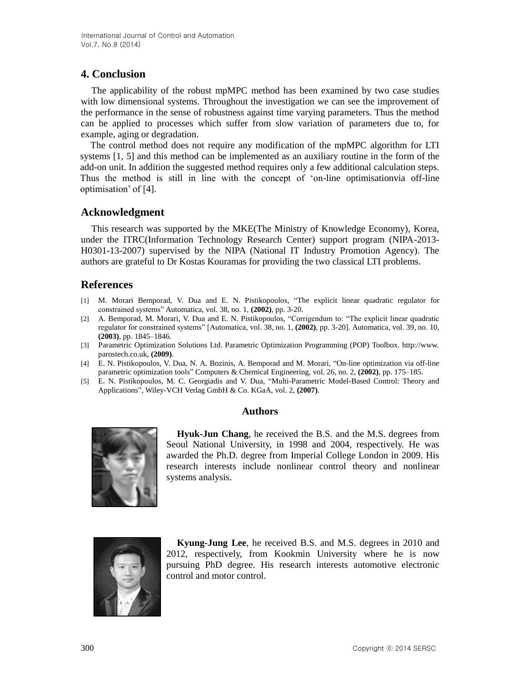## **4. Conclusion**

The applicability of the robust mpMPC method has been examined by two case studies with low dimensional systems. Throughout the investigation we can see the improvement of the performance in the sense of robustness against time varying parameters. Thus the method can be applied to processes which suffer from slow variation of parameters due to, for example, aging or degradation.

The control method does not require any modification of the mpMPC algorithm for LTI systems [1, 5] and this method can be implemented as an auxiliary routine in the form of the add-on unit. In addition the suggested method requires only a few additional calculation steps. Thus the method is still in line with the concept of 'on-line optimisationvia off-line optimisation' of [4].

## **Acknowledgment**

This research was supported by the MKE(The Ministry of Knowledge Economy), Korea, under the ITRC(Information Technology Research Center) support program (NIPA-2013- H0301-13-2007) supervised by the NIPA (National IT Industry Promotion Agency). The authors are grateful to Dr Kostas Kouramas for providing the two classical LTI problems.

## **References**

- [1] M. Morari Bemporad, V. Dua and E. N. Pistikopoulos, "The explicit linear quadratic regulator for constrained systems" Automatica, vol. 38, no. 1, **(2002)**, pp. 3-20.
- [2] A. Bemporad, M. Morari, V. Dua and E. N. Pistikopoulos, "Corrigendum to: "The explicit linear quadratic regulator for constrained systems" [Automatica, vol. 38, no. 1, **(2002)**, pp. 3-20]. Automatica, vol. 39, no. 10, **(2003)**, pp. 1845–1846.
- [3] Parametric Optimization Solutions Ltd. Parametric Optimization Programming (POP) Toolbox. http://www. parostech.co.uk, **(2009)**.
- [4] E. N. Pistikopoulos, V. Dua, N. A. Bozinis, A. Bemporad and M. Morari, "On-line optimization via off-line parametric optimization tools" Computers & Chemical Engineering, vol. 26, no. 2, **(2002)**, pp. 175–185.
- [5] E. N. Pistikopoulos, M. C. Georgiadis and V. Dua, "Multi-Parametric Model-Based Control: Theory and Applications", Wiley-VCH Verlag GmbH & Co. KGaA, vol. 2, **(2007)**.

### **Authors**



**Hyuk-Jun Chang**, he received the B.S. and the M.S. degrees from Seoul National University, in 1998 and 2004, respectively. He was awarded the Ph.D. degree from Imperial College London in 2009. His research interests include nonlinear control theory and nonlinear systems analysis.



**Kyung-Jung Lee**, he received B.S. and M.S. degrees in 2010 and 2012, respectively, from Kookmin University where he is now pursuing PhD degree. His research interests automotive electronic control and motor control.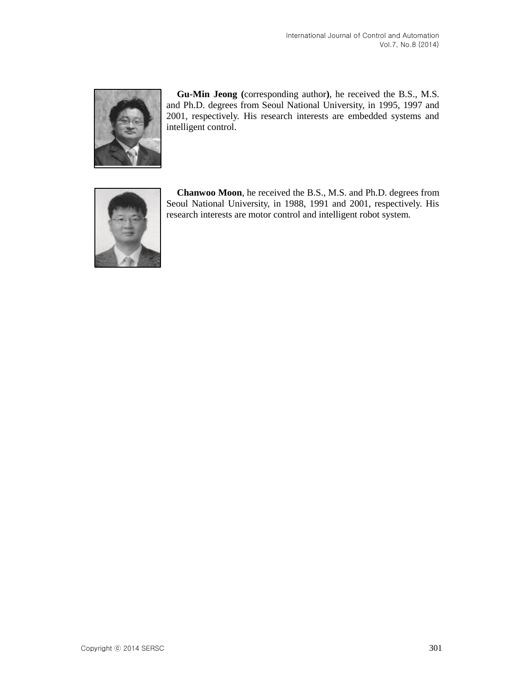

**Gu-Min Jeong (**corresponding author**)**, he received the B.S., M.S. and Ph.D. degrees from Seoul National University, in 1995, 1997 and 2001, respectively. His research interests are embedded systems and intelligent control.



**Chanwoo Moon**, he received the B.S., M.S. and Ph.D. degrees from Seoul National University, in 1988, 1991 and 2001, respectively. His research interests are motor control and intelligent robot system.